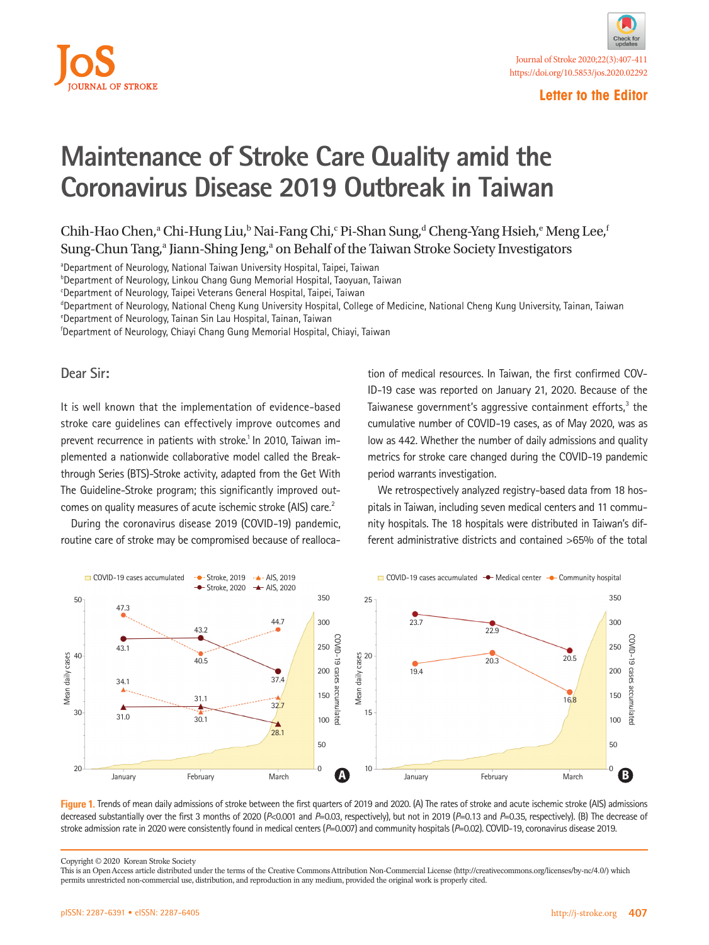



## **Maintenance of Stroke Care Quality amid the Coronavirus Disease 2019 Outbreak in Taiwan**

Chih-Hao Chen,<sup>a</sup> Chi-Hung Liu,<sup>b</sup> Nai-Fang Chi,<sup>c</sup> Pi-Shan Sung,<sup>d</sup> Cheng-Yang Hsieh,<sup>e</sup> Meng Lee,<sup>†</sup> Sung-Chun Tang,<sup>a</sup> Jiann-Shing Jeng,<sup>a</sup> on Behalf of the Taiwan Stroke Society Investigators

aDepartment of Neurology, National Taiwan University Hospital, Taipei, Taiwan

b Department of Neurology, Linkou Chang Gung Memorial Hospital, Taoyuan, Taiwan

<sup>c</sup>Department of Neurology, Taipei Veterans General Hospital, Taipei, Taiwan

d Department of Neurology, National Cheng Kung University Hospital, College of Medicine, National Cheng Kung University, Tainan, Taiwan

e Department of Neurology, Tainan Sin Lau Hospital, Tainan, Taiwan

f Department of Neurology, Chiayi Chang Gung Memorial Hospital, Chiayi, Taiwan

**Dear Sir:**

It is well known that the implementation of evidence-based stroke care guidelines can effectively improve outcomes and prevent recurrence in patients with stroke.<sup>1</sup> In 2010, Taiwan implemented a nationwide collaborative model called the Breakthrough Series (BTS)-Stroke activity, adapted from the Get With The Guideline-Stroke program; this significantly improved outcomes on quality measures of acute ischemic stroke (AIS) care.<sup>2</sup>

During the coronavirus disease 2019 (COVID-19) pandemic, routine care of stroke may be compromised because of realloca-

tion of medical resources. In Taiwan, the first confirmed COV-ID-19 case was reported on January 21, 2020. Because of the Taiwanese government's aggressive containment efforts,<sup>3</sup> the cumulative number of COVID-19 cases, as of May 2020, was as low as 442. Whether the number of daily admissions and quality metrics for stroke care changed during the COVID-19 pandemic period warrants investigation.

We retrospectively analyzed registry-based data from 18 hospitals in Taiwan, including seven medical centers and 11 community hospitals. The 18 hospitals were distributed in Taiwan's different administrative districts and contained >65% of the total



**Figure 1.** Trends of mean daily admissions of stroke between the first quarters of 2019 and 2020. (A) The rates of stroke and acute ischemic stroke (AIS) admissions decreased substantially over the first 3 months of 2020 (*P*<0.001 and *P*=0.03, respectively), but not in 2019 (*P*=0.13 and *P*=0.35, respectively). (B) The decrease of stroke admission rate in 2020 were consistently found in medical centers (*P*=0.007) and community hospitals (*P*=0.02). COVID-19, coronavirus disease 2019.

Copyright © 2020 Korean Stroke Society

This is an Open Access article distributed under the terms of the Creative Commons Attribution Non-Commercial License (http://creativecommons.org/licenses/by-nc/4.0/) which permits unrestricted non-commercial use, distribution, and reproduction in any medium, provided the original work is properly cited.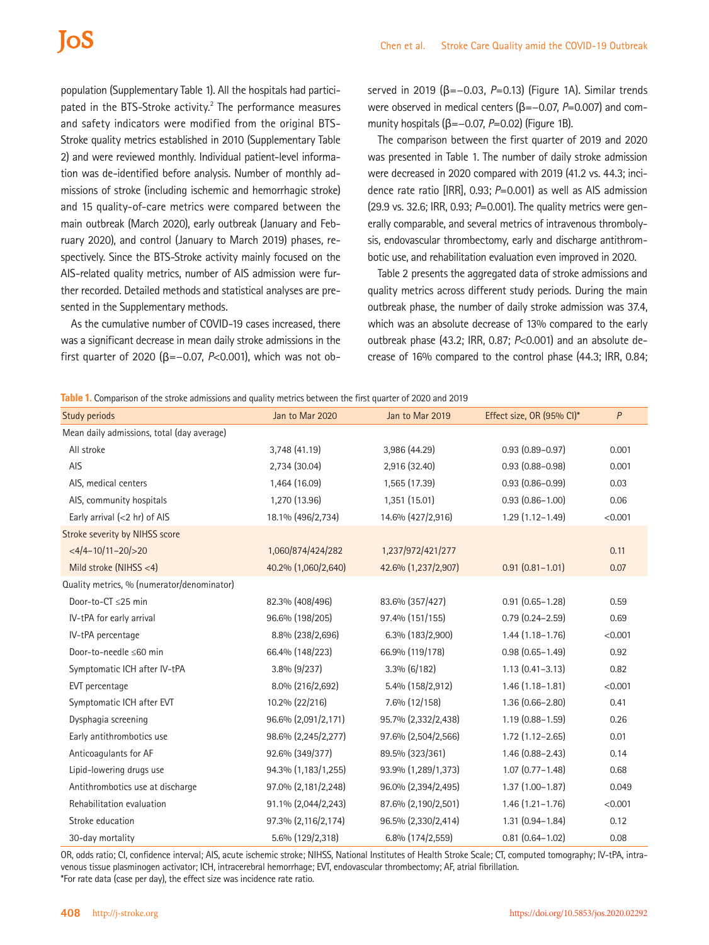population (Supplementary Table 1). All the hospitals had participated in the BTS-Stroke activity.<sup>2</sup> The performance measures and safety indicators were modified from the original BTS-Stroke quality metrics established in 2010 (Supplementary Table 2) and were reviewed monthly. Individual patient-level information was de-identified before analysis. Number of monthly admissions of stroke (including ischemic and hemorrhagic stroke) and 15 quality-of-care metrics were compared between the main outbreak (March 2020), early outbreak (January and February 2020), and control (January to March 2019) phases, respectively. Since the BTS-Stroke activity mainly focused on the AIS-related quality metrics, number of AIS admission were further recorded. Detailed methods and statistical analyses are presented in the Supplementary methods.

As the cumulative number of COVID-19 cases increased, there was a significant decrease in mean daily stroke admissions in the first quarter of 2020 (β=−0.07, *P*<0.001), which was not observed in 2019 (β=−0.03, *P*=0.13) (Figure 1A). Similar trends were observed in medical centers (β=-0.07, P=0.007) and community hospitals (β=−0.07, *P*=0.02) (Figure 1B).

The comparison between the first quarter of 2019 and 2020 was presented in Table 1. The number of daily stroke admission were decreased in 2020 compared with 2019 (41.2 vs. 44.3; incidence rate ratio [IRR], 0.93; *P*=0.001) as well as AIS admission (29.9 vs. 32.6; IRR, 0.93; *P*=0.001). The quality metrics were generally comparable, and several metrics of intravenous thrombolysis, endovascular thrombectomy, early and discharge antithrombotic use, and rehabilitation evaluation even improved in 2020.

Table 2 presents the aggregated data of stroke admissions and quality metrics across different study periods. During the main outbreak phase, the number of daily stroke admission was 37.4, which was an absolute decrease of 13% compared to the early outbreak phase (43.2; IRR, 0.87; *P*<0.001) and an absolute decrease of 16% compared to the control phase (44.3; IRR, 0.84;

**Table 1.** Comparison of the stroke admissions and quality metrics between the first quarter of 2020 and 2019

| Study periods                              | Jan to Mar 2020     | Jan to Mar 2019     | Effect size, OR (95% Cl)* | P       |
|--------------------------------------------|---------------------|---------------------|---------------------------|---------|
| Mean daily admissions, total (day average) |                     |                     |                           |         |
| All stroke                                 | 3,748 (41.19)       | 3,986 (44.29)       | $0.93(0.89 - 0.97)$       | 0.001   |
| AIS                                        | 2,734 (30.04)       | 2,916 (32.40)       | $0.93(0.88 - 0.98)$       | 0.001   |
| AIS, medical centers                       | 1,464 (16.09)       | 1,565 (17.39)       | $0.93(0.86 - 0.99)$       | 0.03    |
| AIS, community hospitals                   | 1,270 (13.96)       | 1,351 (15.01)       | $0.93(0.86 - 1.00)$       | 0.06    |
| Early arrival $(< 2$ hr) of AIS            | 18.1% (496/2,734)   | 14.6% (427/2,916)   | $1.29(1.12 - 1.49)$       | < 0.001 |
| Stroke severity by NIHSS score             |                     |                     |                           |         |
| $<4/4-10/11-20/>20$                        | 1,060/874/424/282   | 1,237/972/421/277   |                           | 0.11    |
| Mild stroke (NIHSS $<$ 4)                  | 40.2% (1,060/2,640) | 42.6% (1,237/2,907) | $0.91(0.81 - 1.01)$       | 0.07    |
| Quality metrics, % (numerator/denominator) |                     |                     |                           |         |
| Door-to-CT ≤25 min                         | 82.3% (408/496)     | 83.6% (357/427)     | $0.91(0.65 - 1.28)$       | 0.59    |
| IV-tPA for early arrival                   | 96.6% (198/205)     | 97.4% (151/155)     | $0.79(0.24 - 2.59)$       | 0.69    |
| IV-tPA percentage                          | 8.8% (238/2,696)    | $6.3\%$ (183/2,900) | $1.44(1.18-1.76)$         | < 0.001 |
| Door-to-needle ≤60 min                     | 66.4% (148/223)     | 66.9% (119/178)     | $0.98(0.65 - 1.49)$       | 0.92    |
| Symptomatic ICH after IV-tPA               | $3.8\%$ (9/237)     | $3.3\%$ (6/182)     | $1.13(0.41 - 3.13)$       | 0.82    |
| EVT percentage                             | 8.0% (216/2,692)    | 5.4% (158/2,912)    | $1.46(1.18-1.81)$         | < 0.001 |
| Symptomatic ICH after EVT                  | 10.2% (22/216)      | 7.6% (12/158)       | $1.36(0.66 - 2.80)$       | 0.41    |
| Dysphagia screening                        | 96.6% (2,091/2,171) | 95.7% (2,332/2,438) | $1.19(0.88 - 1.59)$       | 0.26    |
| Early antithrombotics use                  | 98.6% (2,245/2,277) | 97.6% (2,504/2,566) | $1.72$ (1.12-2.65)        | 0.01    |
| Anticoagulants for AF                      | 92.6% (349/377)     | 89.5% (323/361)     | $1.46(0.88 - 2.43)$       | 0.14    |
| Lipid-lowering drugs use                   | 94.3% (1,183/1,255) | 93.9% (1,289/1,373) | $1.07(0.77 - 1.48)$       | 0.68    |
| Antithrombotics use at discharge           | 97.0% (2,181/2,248) | 96.0% (2,394/2,495) | $1.37(1.00-1.87)$         | 0.049   |
| Rehabilitation evaluation                  | 91.1% (2,044/2,243) | 87.6% (2,190/2,501) | $1.46(1.21 - 1.76)$       | < 0.001 |
| Stroke education                           | 97.3% (2,116/2,174) | 96.5% (2,330/2,414) | $1.31(0.94 - 1.84)$       | 0.12    |
| 30-day mortality                           | 5.6% (129/2,318)    | 6.8% (174/2,559)    | $0.81$ $(0.64 - 1.02)$    | 0.08    |

OR, odds ratio; CI, confidence interval; AIS, acute ischemic stroke; NIHSS, National Institutes of Health Stroke Scale; CT, computed tomography; IV-tPA, intravenous tissue plasminogen activator; ICH, intracerebral hemorrhage; EVT, endovascular thrombectomy; AF, atrial fibrillation. \*For rate data (case per day), the effect size was incidence rate ratio.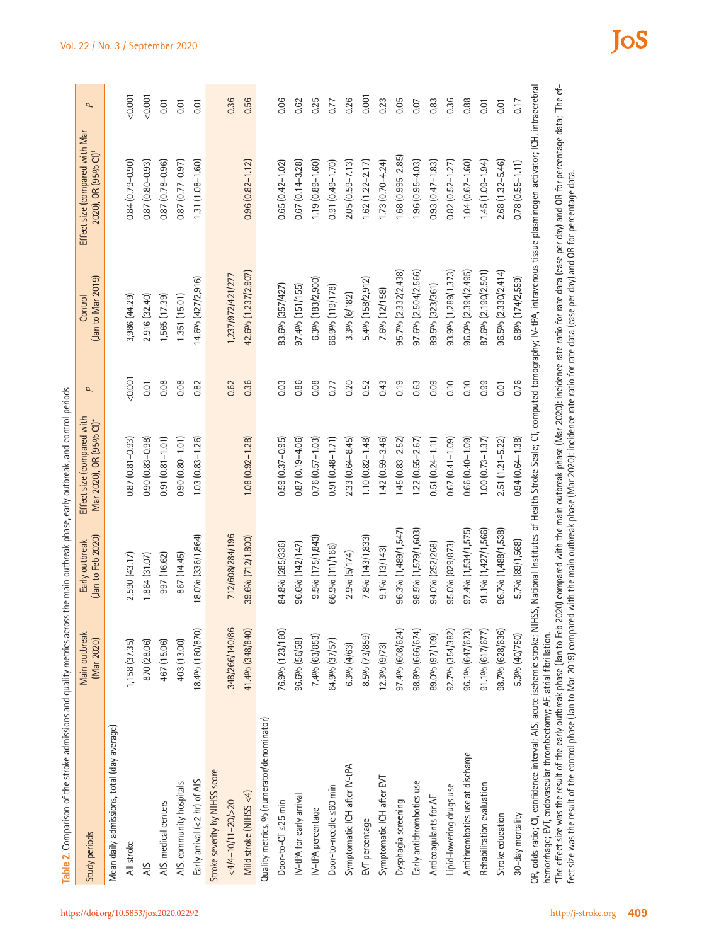| (Jan to Feb 2020)   | Mar 2020), OR (95% CI)* |       |                     |                        |                                                                                                                                                                                                                                                                                                                                                                                                                                                                                                                                                                           |
|---------------------|-------------------------|-------|---------------------|------------------------|---------------------------------------------------------------------------------------------------------------------------------------------------------------------------------------------------------------------------------------------------------------------------------------------------------------------------------------------------------------------------------------------------------------------------------------------------------------------------------------------------------------------------------------------------------------------------|
|                     |                         |       |                     |                        |                                                                                                                                                                                                                                                                                                                                                                                                                                                                                                                                                                           |
| 2,590 (43.17)       | $0.87(0.81 - 0.93)$     | 0.001 | 3,986 (44.29)       | 0.84 (0.79-0.90)       | 0.001                                                                                                                                                                                                                                                                                                                                                                                                                                                                                                                                                                     |
| 1,864 (31.07)       | $0.90(0.83 - 0.98)$     | 0.01  | 2,916 (32.40)       | 0.87 (0.80 - 0.93)     | 0.001                                                                                                                                                                                                                                                                                                                                                                                                                                                                                                                                                                     |
| 997 (16.62)         | $0.91(0.81 - 1.01)$     | 0.08  | 1,565 (17.39)       | 0.87 (0.78-0.96)       | 0.01                                                                                                                                                                                                                                                                                                                                                                                                                                                                                                                                                                      |
| 867 (14.45)         | $0.90(0.80 - 1.01)$     | 0.08  | 1,351(15.01)        | 0.87 (0.77-0.97)       | 0.01                                                                                                                                                                                                                                                                                                                                                                                                                                                                                                                                                                      |
| 18.0% (336/1,864)   | $1.03(0.83 - 1.26)$     | 0.82  | 14.6% (427/2,916)   | 1.31 (1.08-1.60)       | 0.01                                                                                                                                                                                                                                                                                                                                                                                                                                                                                                                                                                      |
|                     |                         |       |                     |                        |                                                                                                                                                                                                                                                                                                                                                                                                                                                                                                                                                                           |
| 712/608/284/196     |                         | 0.62  | 1,237/972/421/277   |                        | 0.36                                                                                                                                                                                                                                                                                                                                                                                                                                                                                                                                                                      |
| 39.6% (712/1,800)   | $1.08(0.92 - 1.28)$     | 0.36  | 42.6% (1,237/2,907) | $0.96(0.82 - 1.12)$    | 0.56                                                                                                                                                                                                                                                                                                                                                                                                                                                                                                                                                                      |
|                     |                         |       |                     |                        |                                                                                                                                                                                                                                                                                                                                                                                                                                                                                                                                                                           |
| 84.8% (285/336)     | $0.59(0.37 - 0.95)$     | 0.03  | 83.6% (357/427)     | $0.65(0.42 - 1.02)$    | 0.06                                                                                                                                                                                                                                                                                                                                                                                                                                                                                                                                                                      |
| 96.6% (142/147)     | 0.87 (0.19-4.06)        | 0.86  | $97.4%$ (151/155)   | 0.67 (0.14-3.28)       | 0.62                                                                                                                                                                                                                                                                                                                                                                                                                                                                                                                                                                      |
| 9.5% (175/1,843)    | $0.76(0.57 - 1.03)$     | 0.08  | 6.3% (183/2,900)    | 1.19 (0.89-1.60)       | 0.25                                                                                                                                                                                                                                                                                                                                                                                                                                                                                                                                                                      |
| 66.9% (111/166)     | 0.91 (0.48-1.71)        | 0.77  | 66.9% (119/178)     | 0.91 (0.49-1.70)       | 0.77                                                                                                                                                                                                                                                                                                                                                                                                                                                                                                                                                                      |
| 2.9% (5/174)        | $2.33(0.64 - 8.45)$     | 0.20  | 3.3% (6/182)        | $2.05(0.59 - 7.13)$    | 0.26                                                                                                                                                                                                                                                                                                                                                                                                                                                                                                                                                                      |
| 7.8% (143/1,833)    | $1.10(0.82 - 1.48)$     | 0.52  | 5.4% (158/2,912)    | $1.62$ $(1.22 - 2.17)$ | 0.001                                                                                                                                                                                                                                                                                                                                                                                                                                                                                                                                                                     |
| $9.1\%$ $(13/143)$  | $1.42(0.59 - 3.46)$     | 0.43  | 7.6% (12/158)       | $1.73(0.70 - 4.24)$    | 0.23                                                                                                                                                                                                                                                                                                                                                                                                                                                                                                                                                                      |
| 96.3% (1,489/1,547) | $1.45(0.83 - 2.52)$     | 0.19  | 95.7% (2,332/2,438) | $1.68(0.995 - 2.85)$   | 0.05                                                                                                                                                                                                                                                                                                                                                                                                                                                                                                                                                                      |
| 98.5% (1,579/1,603) | $1.22(0.55 - 2.67)$     | 0.63  | 97.6% (2,504/2,566) | $1.96(0.95 - 4.03)$    | 0.07                                                                                                                                                                                                                                                                                                                                                                                                                                                                                                                                                                      |
| 94.0% (252/268)     | $0.51$ $(0.24 - 1.11)$  | 0.09  | 89.5% (323/361)     | $0.93(0.47 - 1.83)$    | 0.83                                                                                                                                                                                                                                                                                                                                                                                                                                                                                                                                                                      |
| 95.0% (829/873)     | 0.67 (0.41-1.09)        | 0.10  | 93.9% (1,289/1,373) | $0.82(0.52 - 1.27)$    | 0.36                                                                                                                                                                                                                                                                                                                                                                                                                                                                                                                                                                      |
| 97.4% (1,534/1,575) | $0.66$ $(0.40 - 1.09)$  | 0.10  | 96.0% (2,394/2,495) | $1.04(0.67 - 1.60)$    | 0.88                                                                                                                                                                                                                                                                                                                                                                                                                                                                                                                                                                      |
| 91.1% (1,427/1,566) | $1.00(0.73 - 1.37)$     | 0.99  | 87.6% (2,190/2,501) | $1.45(1.09 - 1.94)$    | 0.01                                                                                                                                                                                                                                                                                                                                                                                                                                                                                                                                                                      |
| 96.7% (1,488/1,538) | $2.51(1.21 - 5.22)$     | 0.01  | 96.5% (2,330/2,414) | 2.68 (1.32-5.46)       | 0.01                                                                                                                                                                                                                                                                                                                                                                                                                                                                                                                                                                      |
| 5.7% (89/1,568)     | $0.94(0.64 - 1.38)$     | 0.76  | 6.8% (174/2,559)    | $0.78(0.55 - 1.11)$    | 0.17                                                                                                                                                                                                                                                                                                                                                                                                                                                                                                                                                                      |
|                     |                         |       |                     |                        | S, National Institutes of Health Stroke Scale; CT, computed tomography; IV-tPA, intravenous tissue plasminogen activator; ICH, intracerebral<br>"The effect size was the result of the early outbreak phase (Jan to Feb 2020) compared with the main outbreak phase (Mar 2020): incidence rate ratio for rate data (case per day) and OR for percentage data; "The ef-<br>fect size was the result of the control phase (Jan to Mar 2019) compared with the main outbreak phase (Mar 2020): incidence rate ratio for rate data (case per day) and OR for percentage data. |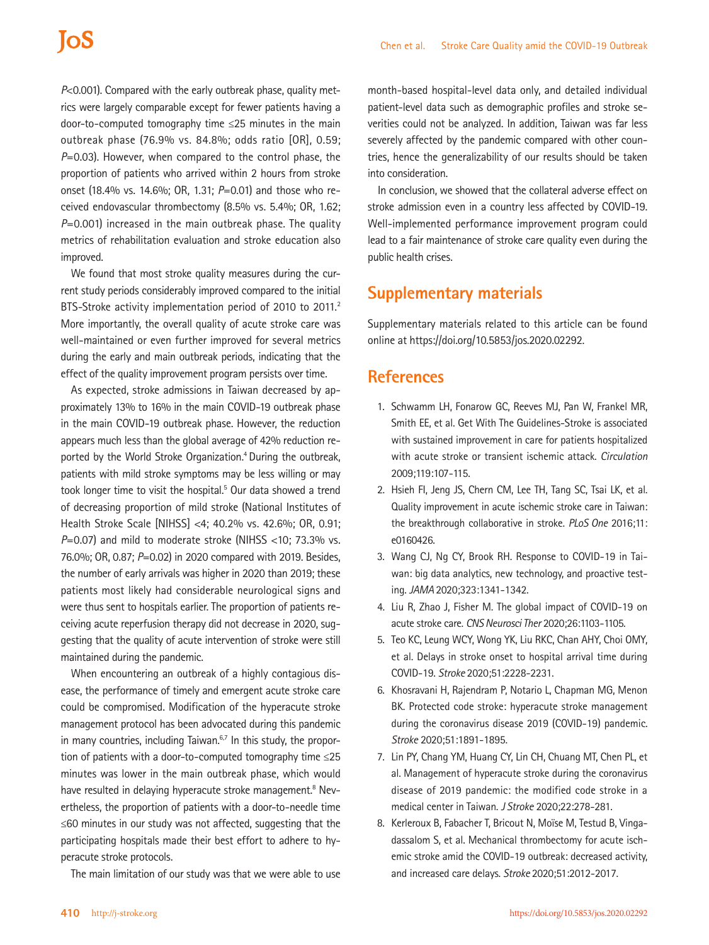*P*<0.001). Compared with the early outbreak phase, quality metrics were largely comparable except for fewer patients having a door-to-computed tomography time ≤25 minutes in the main outbreak phase (76.9% vs. 84.8%; odds ratio [OR], 0.59; *P*=0.03). However, when compared to the control phase, the proportion of patients who arrived within 2 hours from stroke onset (18.4% vs. 14.6%; OR, 1.31; *P*=0.01) and those who received endovascular thrombectomy (8.5% vs. 5.4%; OR, 1.62; *P*=0.001) increased in the main outbreak phase. The quality metrics of rehabilitation evaluation and stroke education also improved.

We found that most stroke quality measures during the current study periods considerably improved compared to the initial BTS-Stroke activity implementation period of 2010 to 2011.<sup>2</sup> More importantly, the overall quality of acute stroke care was well-maintained or even further improved for several metrics during the early and main outbreak periods, indicating that the effect of the quality improvement program persists over time.

As expected, stroke admissions in Taiwan decreased by approximately 13% to 16% in the main COVID-19 outbreak phase in the main COVID-19 outbreak phase. However, the reduction appears much less than the global average of 42% reduction reported by the World Stroke Organization.<sup>4</sup> During the outbreak, patients with mild stroke symptoms may be less willing or may took longer time to visit the hospital.<sup>5</sup> Our data showed a trend of decreasing proportion of mild stroke (National Institutes of Health Stroke Scale [NIHSS] <4; 40.2% vs. 42.6%; OR, 0.91; *P*=0.07) and mild to moderate stroke (NIHSS <10; 73.3% vs. 76.0%; OR, 0.87; *P*=0.02) in 2020 compared with 2019. Besides, the number of early arrivals was higher in 2020 than 2019; these patients most likely had considerable neurological signs and were thus sent to hospitals earlier. The proportion of patients receiving acute reperfusion therapy did not decrease in 2020, suggesting that the quality of acute intervention of stroke were still maintained during the pandemic.

When encountering an outbreak of a highly contagious disease, the performance of timely and emergent acute stroke care could be compromised. Modification of the hyperacute stroke management protocol has been advocated during this pandemic in many countries, including Taiwan. $6,7$  In this study, the proportion of patients with a door-to-computed tomography time ≤25 minutes was lower in the main outbreak phase, which would have resulted in delaying hyperacute stroke management.<sup>8</sup> Nevertheless, the proportion of patients with a door-to-needle time ≤60 minutes in our study was not affected, suggesting that the participating hospitals made their best effort to adhere to hyperacute stroke protocols.

The main limitation of our study was that we were able to use

month-based hospital-level data only, and detailed individual patient-level data such as demographic profiles and stroke severities could not be analyzed. In addition, Taiwan was far less severely affected by the pandemic compared with other countries, hence the generalizability of our results should be taken into consideration.

In conclusion, we showed that the collateral adverse effect on stroke admission even in a country less affected by COVID-19. Well-implemented performance improvement program could lead to a fair maintenance of stroke care quality even during the public health crises.

## **Supplementary materials**

Supplementary materials related to this article can be found online at https://doi.org/10.5853/jos.2020.02292.

### **References**

- 1. Schwamm LH, Fonarow GC, Reeves MJ, Pan W, Frankel MR, Smith EE, et al. Get With The Guidelines-Stroke is associated with sustained improvement in care for patients hospitalized with acute stroke or transient ischemic attack. *Circulation*  2009;119:107-115.
- 2. Hsieh FI, Jeng JS, Chern CM, Lee TH, Tang SC, Tsai LK, et al. Quality improvement in acute ischemic stroke care in Taiwan: the breakthrough collaborative in stroke. *PLoS One* 2016;11: e0160426.
- 3. Wang CJ, Ng CY, Brook RH. Response to COVID-19 in Taiwan: big data analytics, new technology, and proactive testing. *JAMA* 2020;323:1341-1342.
- 4. Liu R, Zhao J, Fisher M. The global impact of COVID-19 on acute stroke care. *CNS Neurosci Ther* 2020;26:1103-1105.
- 5. Teo KC, Leung WCY, Wong YK, Liu RKC, Chan AHY, Choi OMY, et al. Delays in stroke onset to hospital arrival time during COVID-19. *Stroke* 2020;51:2228-2231.
- 6. Khosravani H, Rajendram P, Notario L, Chapman MG, Menon BK. Protected code stroke: hyperacute stroke management during the coronavirus disease 2019 (COVID-19) pandemic. *Stroke* 2020;51:1891-1895.
- 7. Lin PY, Chang YM, Huang CY, Lin CH, Chuang MT, Chen PL, et al. Management of hyperacute stroke during the coronavirus disease of 2019 pandemic: the modified code stroke in a medical center in Taiwan. *J Stroke* 2020;22:278-281.
- 8. Kerleroux B, Fabacher T, Bricout N, Moïse M, Testud B, Vingadassalom S, et al. Mechanical thrombectomy for acute ischemic stroke amid the COVID-19 outbreak: decreased activity, and increased care delays. *Stroke* 2020;51:2012-2017.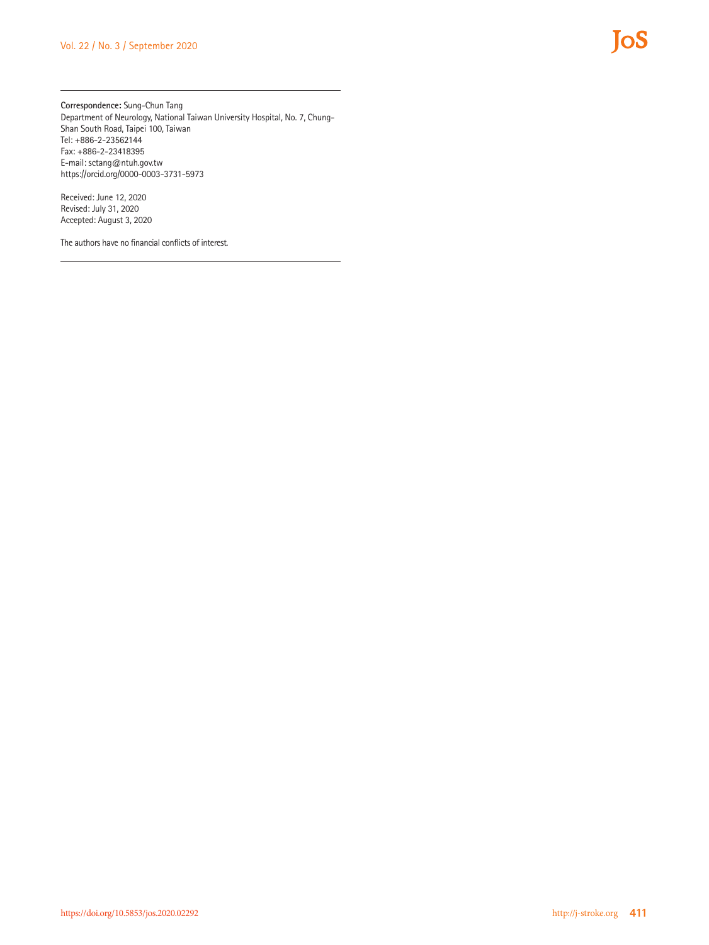**Correspondence:** Sung-Chun Tang Department of Neurology, National Taiwan University Hospital, No. 7, Chung-Shan South Road, Taipei 100, Taiwan Tel: +886-2-23562144 Fax: +886-2-23418395 E-mail: [sctang@ntuh.gov.tw](mailto:sctang@ntuh.gov.tw) https://orcid.org/0000-0003-3731-5973

Received: June 12, 2020 Revised: July 31, 2020 Accepted: August 3, 2020

The authors have no financial conflicts of interest.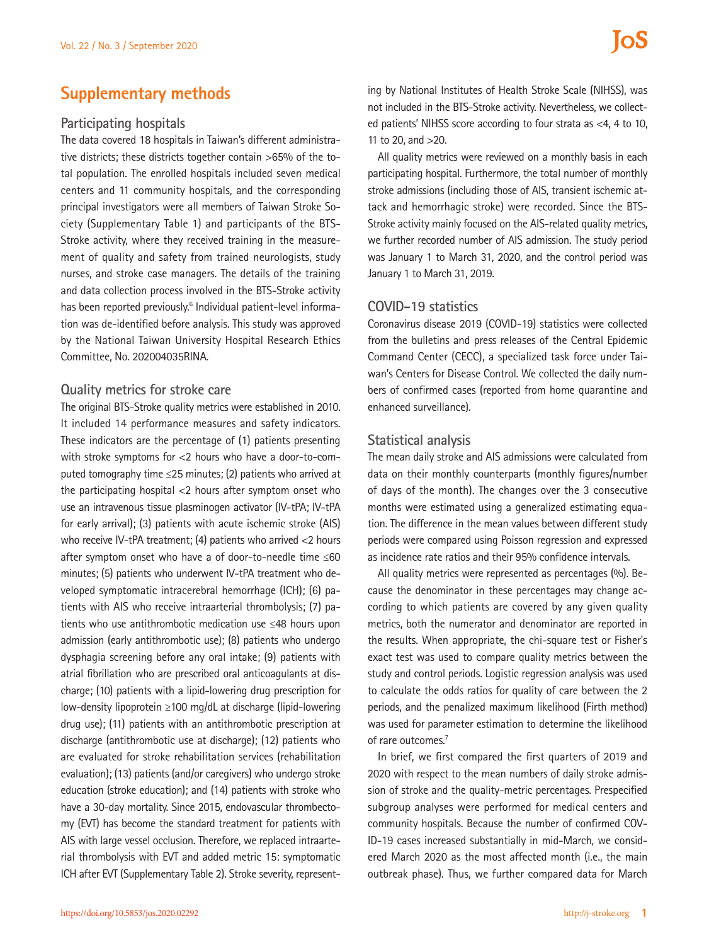### **Supplementary methods**

#### **Participating hospitals**

The data covered 18 hospitals in Taiwan's different administrative districts; these districts together contain >65% of the total population. The enrolled hospitals included seven medical centers and 11 community hospitals, and the corresponding principal investigators were all members of Taiwan Stroke Society (Supplementary Table 1) and participants of the BTS-Stroke activity, where they received training in the measurement of quality and safety from trained neurologists, study nurses, and stroke case managers. The details of the training and data collection process involved in the BTS-Stroke activity has been reported previously.<sup>6</sup> Individual patient-level information was de-identified before analysis. This study was approved by the National Taiwan University Hospital Research Ethics Committee, No. 202004035RINA.

#### **Quality metrics for stroke care**

The original BTS-Stroke quality metrics were established in 2010. It included 14 performance measures and safety indicators. These indicators are the percentage of (1) patients presenting with stroke symptoms for <2 hours who have a door-to-computed tomography time ≤25 minutes; (2) patients who arrived at the participating hospital <2 hours after symptom onset who use an intravenous tissue plasminogen activator (IV-tPA; IV-tPA for early arrival); (3) patients with acute ischemic stroke (AIS) who receive IV-tPA treatment; (4) patients who arrived <2 hours after symptom onset who have a of door-to-needle time ≤60 minutes; (5) patients who underwent IV-tPA treatment who developed symptomatic intracerebral hemorrhage (ICH); (6) patients with AIS who receive intraarterial thrombolysis; (7) patients who use antithrombotic medication use ≤48 hours upon admission (early antithrombotic use); (8) patients who undergo dysphagia screening before any oral intake; (9) patients with atrial fibrillation who are prescribed oral anticoagulants at discharge; (10) patients with a lipid-lowering drug prescription for low-density lipoprotein ≥100 mg/dL at discharge (lipid-lowering drug use); (11) patients with an antithrombotic prescription at discharge (antithrombotic use at discharge); (12) patients who are evaluated for stroke rehabilitation services (rehabilitation evaluation); (13) patients (and/or caregivers) who undergo stroke education (stroke education); and (14) patients with stroke who have a 30-day mortality. Since 2015, endovascular thrombectomy (EVT) has become the standard treatment for patients with AIS with large vessel occlusion. Therefore, we replaced intraarterial thrombolysis with EVT and added metric 15: symptomatic ICH after EVT (Supplementary Table 2). Stroke severity, representing by National Institutes of Health Stroke Scale (NIHSS), was not included in the BTS-Stroke activity. Nevertheless, we collected patients' NIHSS score according to four strata as <4, 4 to 10, 11 to 20, and >20.

All quality metrics were reviewed on a monthly basis in each participating hospital. Furthermore, the total number of monthly stroke admissions (including those of AIS, transient ischemic attack and hemorrhagic stroke) were recorded. Since the BTS-Stroke activity mainly focused on the AIS-related quality metrics, we further recorded number of AIS admission. The study period was January 1 to March 31, 2020, and the control period was January 1 to March 31, 2019.

#### **COVID-19 statistics**

Coronavirus disease 2019 (COVID-19) statistics were collected from the bulletins and press releases of the Central Epidemic Command Center (CECC), a specialized task force under Taiwan's Centers for Disease Control. We collected the daily numbers of confirmed cases (reported from home quarantine and enhanced surveillance).

#### **Statistical analysis**

The mean daily stroke and AIS admissions were calculated from data on their monthly counterparts (monthly figures/number of days of the month). The changes over the 3 consecutive months were estimated using a generalized estimating equation. The difference in the mean values between different study periods were compared using Poisson regression and expressed as incidence rate ratios and their 95% confidence intervals.

All quality metrics were represented as percentages (%). Because the denominator in these percentages may change according to which patients are covered by any given quality metrics, both the numerator and denominator are reported in the results. When appropriate, the chi-square test or Fisher's exact test was used to compare quality metrics between the study and control periods. Logistic regression analysis was used to calculate the odds ratios for quality of care between the 2 periods, and the penalized maximum likelihood (Firth method) was used for parameter estimation to determine the likelihood of rare outcomes.<sup>7</sup>

In brief, we first compared the first quarters of 2019 and 2020 with respect to the mean numbers of daily stroke admission of stroke and the quality-metric percentages. Prespecified subgroup analyses were performed for medical centers and community hospitals. Because the number of confirmed COV-ID-19 cases increased substantially in mid-March, we considered March 2020 as the most affected month (i.e., the main outbreak phase). Thus, we further compared data for March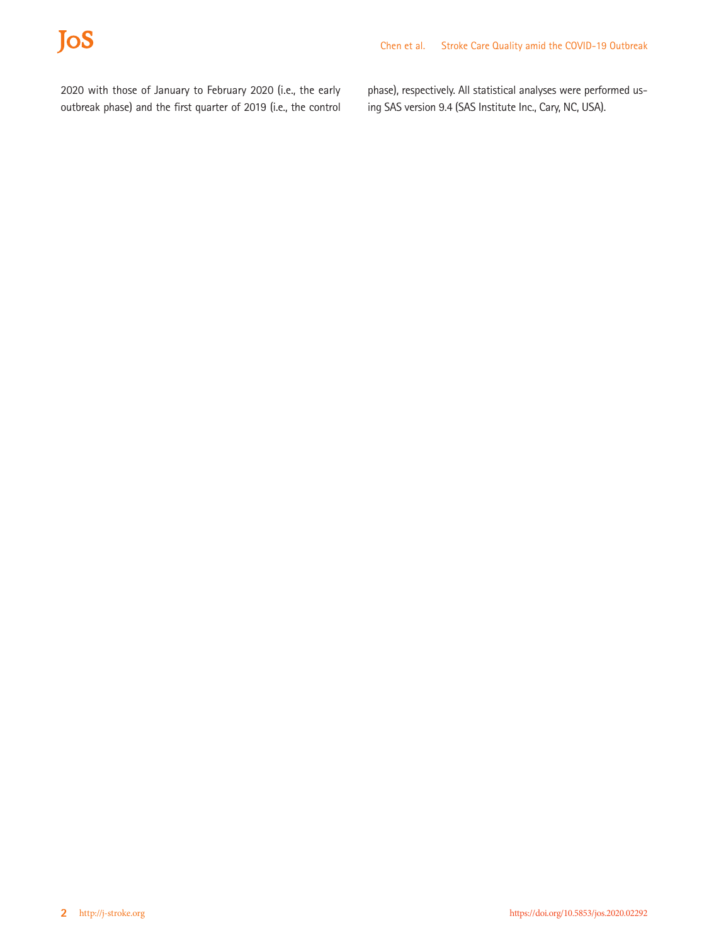# JoS

2020 with those of January to February 2020 (i.e., the early outbreak phase) and the first quarter of 2019 (i.e., the control

phase), respectively. All statistical analyses were performed using SAS version 9.4 (SAS Institute Inc., Cary, NC, USA).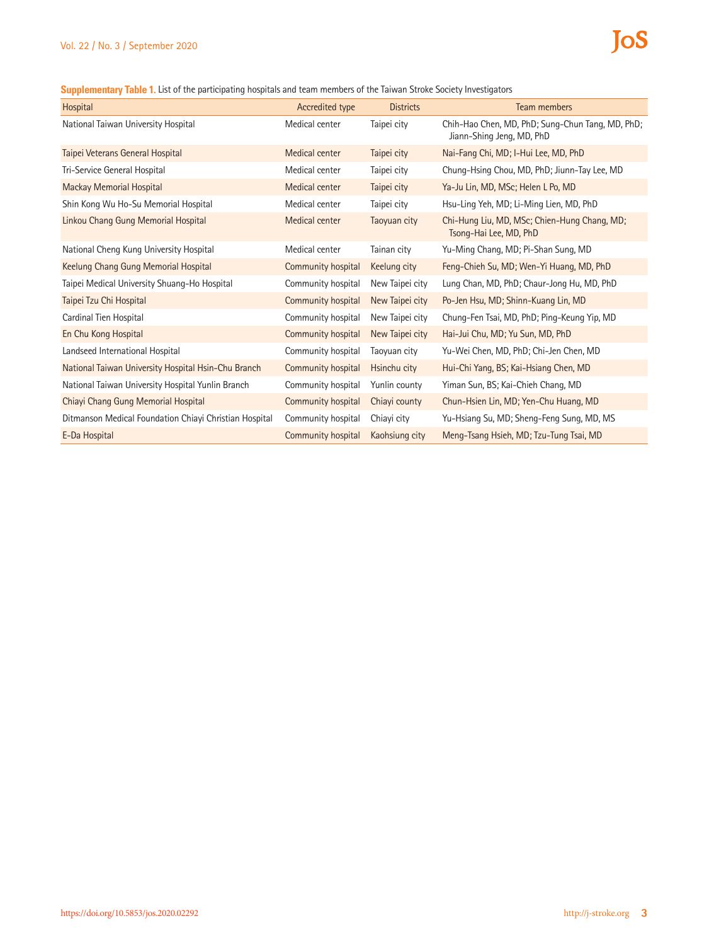**Supplementary Table 1.** List of the participating hospitals and team members of the Taiwan Stroke Society Investigators

| Hospital                                               | Accredited type    | <b>Districts</b> | Team members                                                                  |
|--------------------------------------------------------|--------------------|------------------|-------------------------------------------------------------------------------|
| National Taiwan University Hospital                    | Medical center     | Taipei city      | Chih-Hao Chen, MD, PhD; Sung-Chun Tang, MD, PhD;<br>Jiann-Shing Jeng, MD, PhD |
| Taipei Veterans General Hospital                       | Medical center     | Taipei city      | Nai-Fang Chi, MD; I-Hui Lee, MD, PhD                                          |
| Tri-Service General Hospital                           | Medical center     | Taipei city      | Chung-Hsing Chou, MD, PhD; Jiunn-Tay Lee, MD                                  |
| <b>Mackay Memorial Hospital</b>                        | Medical center     | Taipei city      | Ya-Ju Lin, MD, MSc; Helen L Po, MD                                            |
| Shin Kong Wu Ho-Su Memorial Hospital                   | Medical center     | Taipei city      | Hsu-Ling Yeh, MD; Li-Ming Lien, MD, PhD                                       |
| Linkou Chang Gung Memorial Hospital                    | Medical center     | Taoyuan city     | Chi-Hung Liu, MD, MSc; Chien-Hung Chang, MD;<br>Tsong-Hai Lee, MD, PhD        |
| National Cheng Kung University Hospital                | Medical center     | Tainan city      | Yu-Ming Chang, MD; Pi-Shan Sung, MD                                           |
| Keelung Chang Gung Memorial Hospital                   | Community hospital | Keelung city     | Feng-Chieh Su, MD; Wen-Yi Huang, MD, PhD                                      |
| Taipei Medical University Shuang-Ho Hospital           | Community hospital | New Taipei city  | Lung Chan, MD, PhD; Chaur-Jong Hu, MD, PhD                                    |
| Taipei Tzu Chi Hospital                                | Community hospital | New Taipei city  | Po-Jen Hsu, MD; Shinn-Kuang Lin, MD                                           |
| Cardinal Tien Hospital                                 | Community hospital | New Taipei city  | Chung-Fen Tsai, MD, PhD; Ping-Keung Yip, MD                                   |
| En Chu Kong Hospital                                   | Community hospital | New Taipei city  | Hai-Jui Chu, MD; Yu Sun, MD, PhD                                              |
| Landseed International Hospital                        | Community hospital | Taoyuan city     | Yu-Wei Chen, MD, PhD; Chi-Jen Chen, MD                                        |
| National Taiwan University Hospital Hsin-Chu Branch    | Community hospital | Hsinchu city     | Hui-Chi Yang, BS; Kai-Hsiang Chen, MD                                         |
| National Taiwan University Hospital Yunlin Branch      | Community hospital | Yunlin county    | Yiman Sun, BS; Kai-Chieh Chang, MD                                            |
| Chiayi Chang Gung Memorial Hospital                    | Community hospital | Chiavi county    | Chun-Hsien Lin, MD; Yen-Chu Huang, MD                                         |
| Ditmanson Medical Foundation Chiayi Christian Hospital | Community hospital | Chiavi city      | Yu-Hsiang Su, MD; Sheng-Feng Sung, MD, MS                                     |
| E-Da Hospital                                          | Community hospital | Kaohsiung city   | Meng-Tsang Hsieh, MD; Tzu-Tung Tsai, MD                                       |